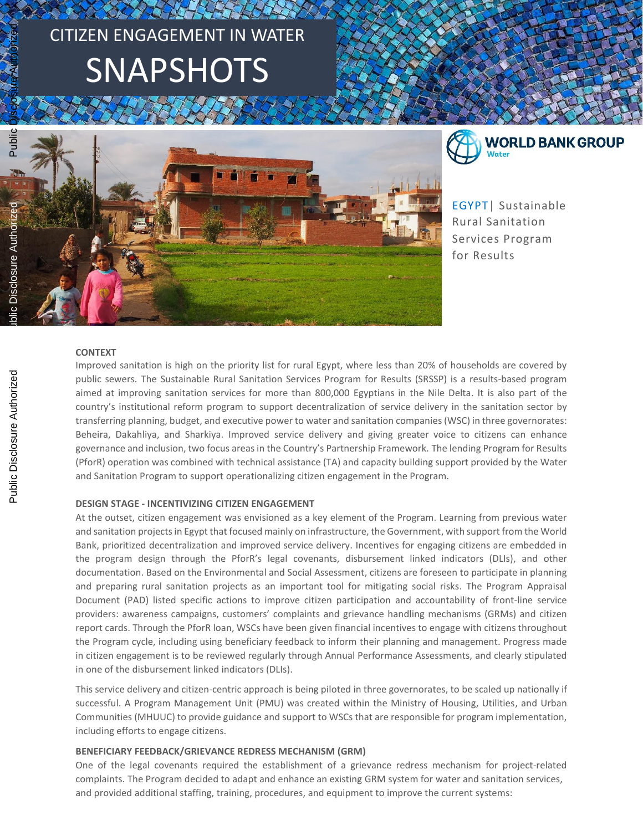# CITIZEN ENGAGEMENT IN WATER SNAPSHOTS





EGYPT| Sustainable Rural Sanitation Services Program for Results

#### **CONTEXT**

Improved sanitation is high on the priority list for rural Egypt, where less than 20% of households are covered by public sewers. The Sustainable Rural Sanitation Services Program for Results (SRSSP) is a results-based program aimed at improving sanitation services for more than 800,000 Egyptians in the Nile Delta. It is also part of the country's institutional reform program to support decentralization of service delivery in the sanitation sector by transferring planning, budget, and executive power to water and sanitation companies(WSC) in three governorates: Beheira, Dakahliya, and Sharkiya. Improved service delivery and giving greater voice to citizens can enhance governance and inclusion, two focus areas in the Country's Partnership Framework. The lending Program for Results (PforR) operation was combined with technical assistance (TA) and capacity building support provided by the Water and Sanitation Program to support operationalizing citizen engagement in the Program.

# **DESIGN STAGE - INCENTIVIZING CITIZEN ENGAGEMENT**

At the outset, citizen engagement was envisioned as a key element of the Program. Learning from previous water and sanitation projects in Egypt that focused mainly on infrastructure, the Government, with support from the World Bank, prioritized decentralization and improved service delivery. Incentives for engaging citizens are embedded in the program design through the PforR's legal covenants, disbursement linked indicators (DLIs), and other documentation. Based on the Environmental and Social Assessment, citizens are foreseen to participate in planning and preparing rural sanitation projects as an important tool for mitigating social risks. The Program Appraisal Document (PAD) listed specific actions to improve citizen participation and accountability of front-line service providers: awareness campaigns, customers' complaints and grievance handling mechanisms (GRMs) and citizen report cards. Through the PforR loan, WSCs have been given financial incentives to engage with citizens throughout the Program cycle, including using beneficiary feedback to inform their planning and management. Progress made in citizen engagement is to be reviewed regularly through Annual Performance Assessments, and clearly stipulated in one of the disbursement linked indicators (DLIs).

This service delivery and citizen-centric approach is being piloted in three governorates, to be scaled up nationally if successful. A Program Management Unit (PMU) was created within the Ministry of Housing, Utilities, and Urban Communities (MHUUC) to provide guidance and support to WSCs that are responsible for program implementation, including efforts to engage citizens.

# **BENEFICIARY FEEDBACK/GRIEVANCE REDRESS MECHANISM (GRM)**

One of the legal covenants required the establishment of a grievance redress mechanism for project-related complaints. The Program decided to adapt and enhance an existing GRM system for water and sanitation services, and provided additional staffing, training, procedures, and equipment to improve the current systems: